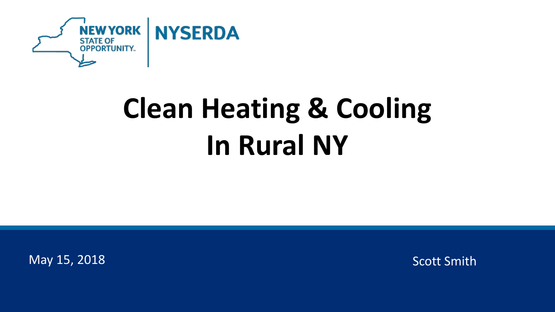

## **Clean Heating & Cooling In Rural NY**

May 15, 2018 **Scott Smith** Scott Smith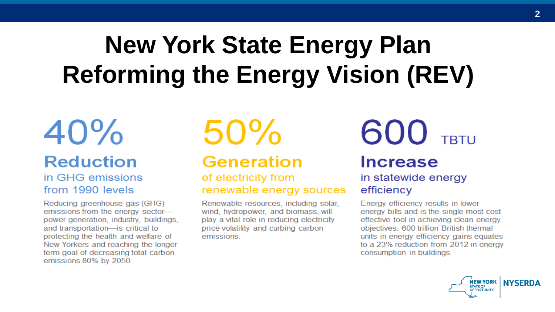## **New York State Energy Plan Reforming the Energy Vision (REV)**

#### $40%$ **Reduction** in GHG emissions from 1990 levels

Reducing greenhouse gas (GHG) emissions from the energy sectorpower generation, industry, buildings, and transportation-is critical to protecting the health and welfare of New Yorkers and reaching the longer term goal of decreasing total carbon emissions 80% by 2050.

 $50%$ 

#### **Generation**

of electricity from renewable energy sources

Renewable resources, including solar, wind, hydropower, and biomass, will play a vital role in reducing electricity price volatility and curbing carbon emissions.

#### 600 TRTU **Increase** in statewide energy efficiency

Energy efficiency results in lower energy bills and is the single most cost effective tool in achieving clean energy objectives. 600 trillion British thermal units in energy efficiency gains equates to a 23% reduction from 2012 in energy consumption in buildings.

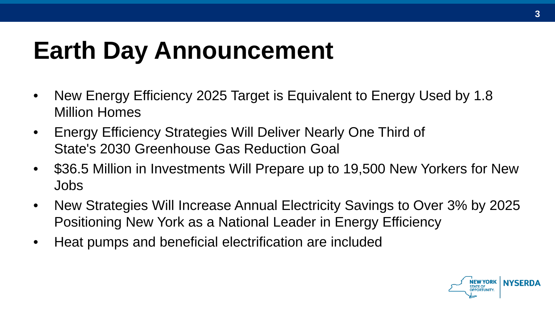## **Earth Day Announcement**

- New Energy Efficiency 2025 Target is Equivalent to Energy Used by 1.8 Million Homes
- Energy Efficiency Strategies Will Deliver Nearly One Third of State's 2030 Greenhouse Gas Reduction Goal
- \$36.5 Million in Investments Will Prepare up to 19,500 New Yorkers for New Jobs
- New Strategies Will Increase Annual Electricity Savings to Over 3% by 2025 Positioning New York as a National Leader in Energy Efficiency
- Heat pumps and beneficial electrification are included

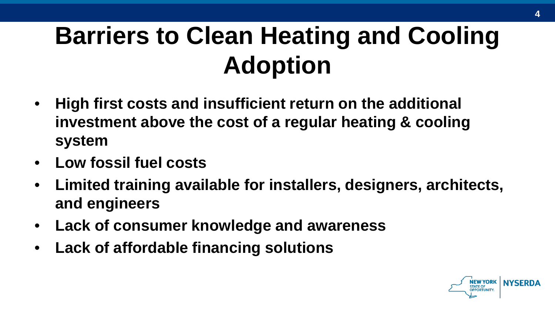## **Barriers to Clean Heating and Cooling Adoption**

- **High first costs and insufficient return on the additional investment above the cost of a regular heating & cooling system**
- **Low fossil fuel costs**
- **Limited training available for installers, designers, architects, and engineers**
- **Lack of consumer knowledge and awareness**
- **Lack of affordable financing solutions**

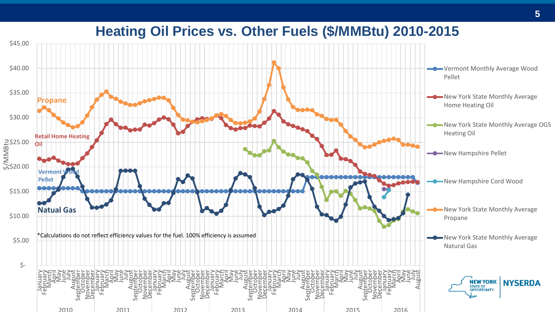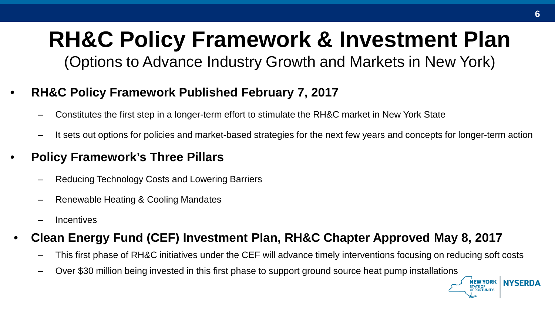## **RH&C Policy Framework & Investment Plan**

(Options to Advance Industry Growth and Markets in New York)

#### • **RH&C Policy Framework Published February 7, 2017**

- Constitutes the first step in a longer-term effort to stimulate the RH&C market in New York State
- It sets out options for policies and market-based strategies for the next few years and concepts for longer-term action

#### • **Policy Framework's Three Pillars**

- Reducing Technology Costs and Lowering Barriers
- Renewable Heating & Cooling Mandates
- **Incentives**

#### • **Clean Energy Fund (CEF) Investment Plan, RH&C Chapter Approved May 8, 2017**

- This first phase of RH&C initiatives under the CEF will advance timely interventions focusing on reducing soft costs
- Over \$30 million being invested in this first phase to support ground source heat pump installations

**NEW YORK | NYSERDA**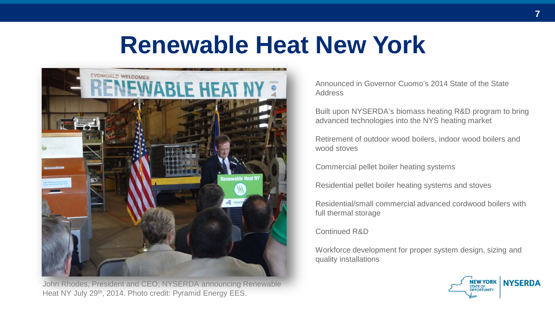## **Renewable Heat New York**



John Rhodes, President and CEO, NYSERDA announcing Renewable Heat NY July 29<sup>th</sup>, 2014. Photo credit: Pyramid Energy EES.

Announced in Governor Cuomo's 2014 State of the State Address

Built upon NYSERDA's biomass heating R&D program to bring advanced technologies into the NYS heating market

Retirement of outdoor wood boilers, indoor wood boilers and wood stoves

Commercial pellet boiler heating systems

Residential pellet boiler heating systems and stoves

Residential/small commercial advanced cordwood boilers with full thermal storage

Continued R&D

Workforce development for proper system design, sizing and quality installations

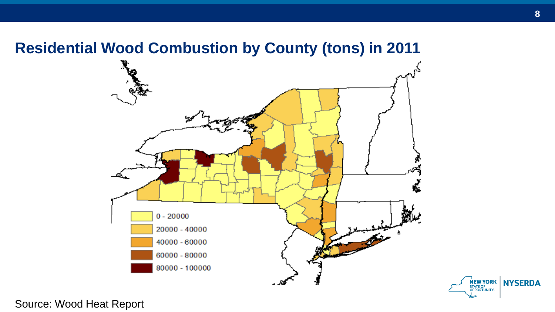#### **Residential Wood Combustion by County (tons) in 2011**



NEW YORK NYSERDA

Source: Wood Heat Report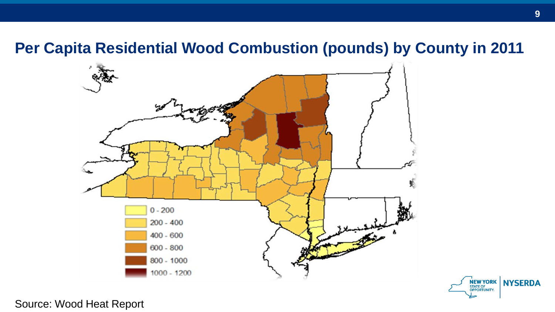#### **Per Capita Residential Wood Combustion (pounds) by County in 2011**





**9**

Source: Wood Heat Report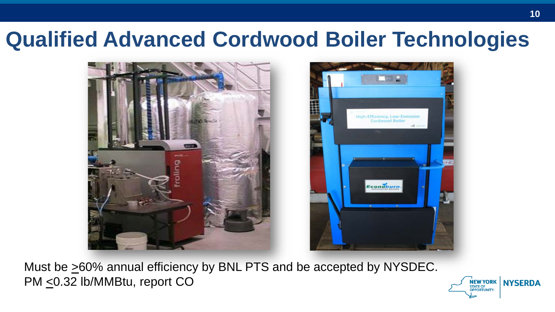## **Qualified Advanced Cordwood Boiler Technologies**





Must be  $\geq 60\%$  annual efficiency by BNL PTS and be accepted by NYSDEC. PM <0.32 lb/MMBtu, report CO

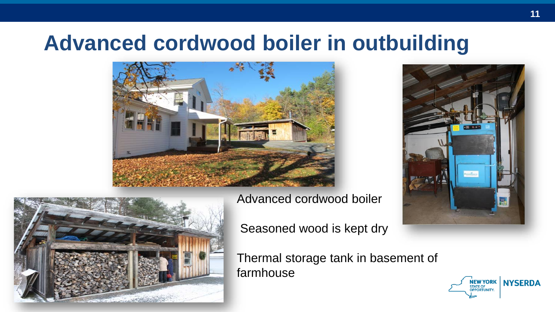## **Advanced cordwood boiler in outbuilding**







Advanced cordwood boiler

Seasoned wood is kept dry

Thermal storage tank in basement of farmhouse

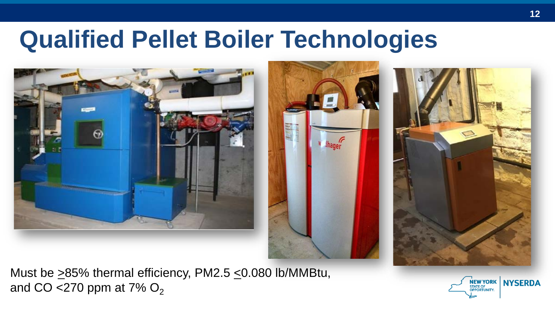## **Qualified Pellet Boiler Technologies**







Must be  $\geq$ 85% thermal efficiency, PM2.5  $\leq$ 0.080 lb/MMBtu, and CO <270 ppm at 7%  $O_2$ 

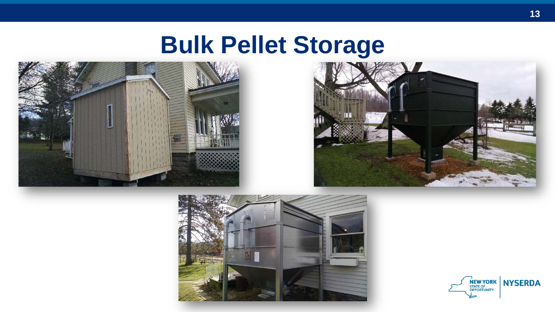## **Bulk Pellet Storage**







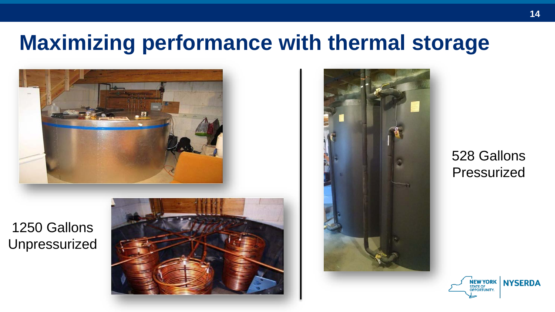## **Maximizing performance with thermal storage**



1250 Gallons Unpressurized





528 Gallons Pressurized

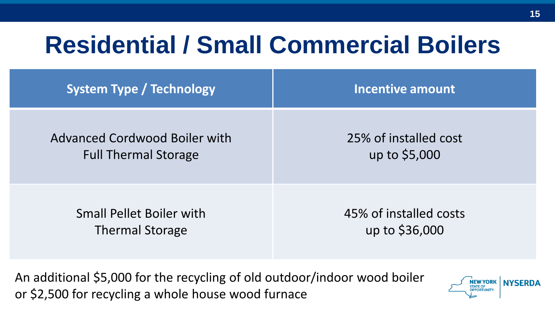## **Residential / Small Commercial Boilers**

| <b>System Type / Technology</b> | <b>Incentive amount</b> |
|---------------------------------|-------------------------|
| Advanced Cordwood Boiler with   | 25% of installed cost   |
| <b>Full Thermal Storage</b>     | up to \$5,000           |
| <b>Small Pellet Boiler with</b> | 45% of installed costs  |
| <b>Thermal Storage</b>          | up to \$36,000          |

An additional \$5,000 for the recycling of old outdoor/indoor wood boiler or \$2,500 for recycling a whole house wood furnace

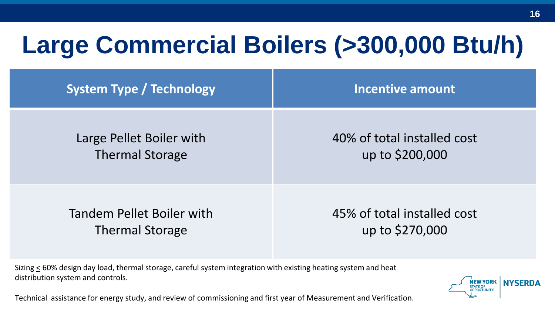## **Large Commercial Boilers (>300,000 Btu/h)**

| <b>System Type / Technology</b> | Incentive amount            |
|---------------------------------|-----------------------------|
| Large Pellet Boiler with        | 40% of total installed cost |
| <b>Thermal Storage</b>          | up to \$200,000             |
| Tandem Pellet Boiler with       | 45% of total installed cost |
| <b>Thermal Storage</b>          | up to \$270,000             |

Sizing < 60% design day load, thermal storage, careful system integration with existing heating system and heat distribution system and controls.

Technical assistance for energy study, and review of commissioning and first year of Measurement and Verification.

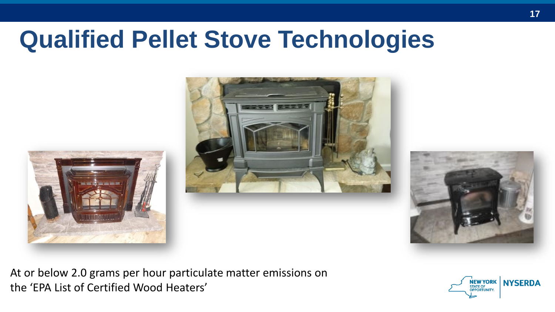## **Qualified Pellet Stove Technologies**







At or below 2.0 grams per hour particulate matter emissions on the 'EPA List of Certified Wood Heaters'

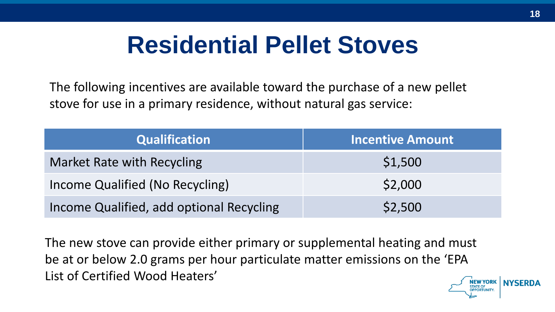## **Residential Pellet Stoves**

The following incentives are available toward the purchase of a new pellet stove for use in a primary residence, without natural gas service:

| <b>Qualification</b>                     | <b>Incentive Amount</b> |
|------------------------------------------|-------------------------|
| Market Rate with Recycling               | \$1,500                 |
| Income Qualified (No Recycling)          | \$2,000                 |
| Income Qualified, add optional Recycling | \$2,500                 |

The new stove can provide either primary or supplemental heating and must be at or below 2.0 grams per hour particulate matter emissions on the 'EPA List of Certified Wood Heaters'

**NYSFRD4**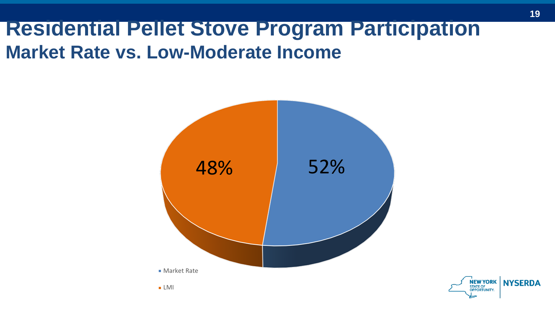### **Residential Pellet Stove Program Participation Market Rate vs. Low-Moderate Income**



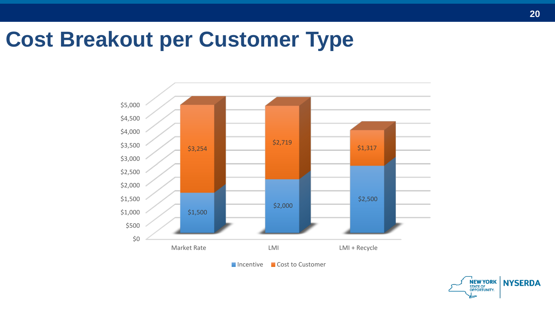### **Cost Breakout per Customer Type**





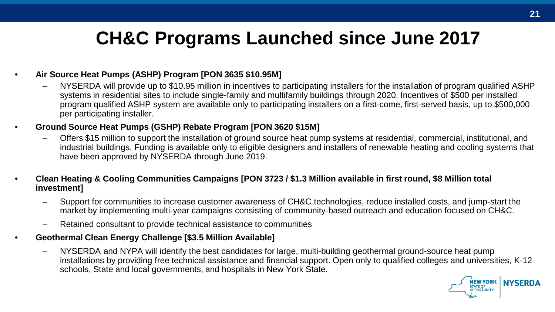### **CH&C Programs Launched since June 2017**

#### • **Air Source Heat Pumps (ASHP) Program [PON 3635 \$10.95M]**

– NYSERDA will provide up to \$10.95 million in incentives to participating installers for the installation of program qualified ASHP systems in residential sites to include single-family and multifamily buildings through 2020. Incentives of \$500 per installed program qualified ASHP system are available only to participating installers on a first-come, first-served basis, up to \$500,000 per participating installer.

#### • **Ground Source Heat Pumps (GSHP) Rebate Program [PON 3620 \$15M]**

- Offers \$15 million to support the installation of ground source heat pump systems at residential, commercial, institutional, and industrial buildings. Funding is available only to eligible designers and installers of renewable heating and cooling systems that have been approved by NYSERDA through June 2019.
- **Clean Heating & Cooling Communities Campaigns [PON 3723 / \$1.3 Million available in first round, \$8 Million total investment]** 
	- Support for communities to increase customer awareness of CH&C technologies, reduce installed costs, and jump-start the market by implementing multi-year campaigns consisting of community-based outreach and education focused on CH&C.
	- Retained consultant to provide technical assistance to communities
- **Geothermal Clean Energy Challenge [\$3.5 Million Available]**
	- NYSERDA and NYPA will identify the best candidates for large, multi-building geothermal ground-source heat pump installations by providing free technical assistance and financial support. Open only to qualified colleges and universities, K-12 schools, State and local governments, and hospitals in New York State.

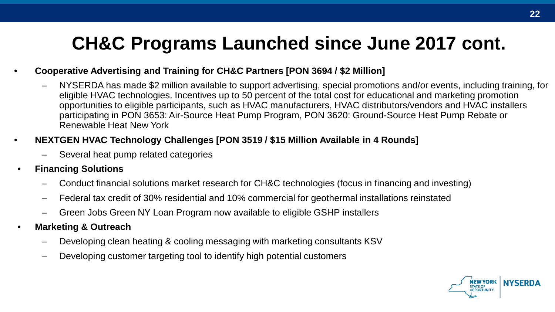### **CH&C Programs Launched since June 2017 cont.**

- **Cooperative Advertising and Training for CH&C Partners [PON 3694 / \$2 Million]**
	- NYSERDA has made \$2 million available to support advertising, special promotions and/or events, including training, for eligible HVAC technologies. Incentives up to 50 percent of the total cost for educational and marketing promotion opportunities to eligible participants, such as HVAC manufacturers, HVAC distributors/vendors and HVAC installers participating in PON 3653: Air-Source Heat Pump Program, PON 3620: Ground-Source Heat Pump Rebate or Renewable Heat New York
- **NEXTGEN HVAC Technology Challenges [PON 3519 / \$15 Million Available in 4 Rounds]**
	- Several heat pump related categories
- **Financing Solutions**
	- Conduct financial solutions market research for CH&C technologies (focus in financing and investing)
	- Federal tax credit of 30% residential and 10% commercial for geothermal installations reinstated
	- Green Jobs Green NY Loan Program now available to eligible GSHP installers
- **Marketing & Outreach**
	- Developing clean heating & cooling messaging with marketing consultants KSV
	- Developing customer targeting tool to identify high potential customers

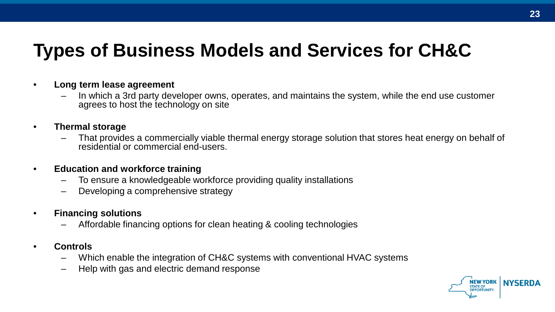#### **Types of Business Models and Services for CH&C**

- **Long term lease agreement** 
	- In which a 3rd party developer owns, operates, and maintains the system, while the end use customer agrees to host the technology on site
- **Thermal storage** 
	- That provides a commercially viable thermal energy storage solution that stores heat energy on behalf of residential or commercial end-users.
- **Education and workforce training** 
	- To ensure a knowledgeable workforce providing quality installations
	- Developing a comprehensive strategy
- **Financing solutions** 
	- Affordable financing options for clean heating & cooling technologies
- **Controls** 
	- Which enable the integration of CH&C systems with conventional HVAC systems
	- Help with gas and electric demand response